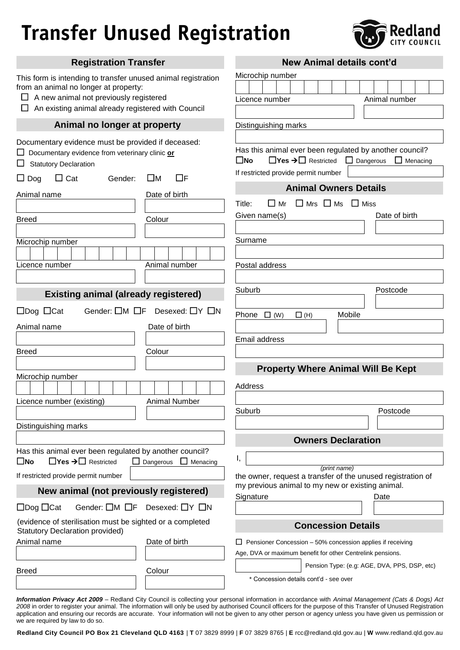## **Transfer Unused Registration**



| <b>Registration Transfer</b>                                                                                                                                                                           | <b>New Animal details cont'd</b>                                                                                                                                                               |
|--------------------------------------------------------------------------------------------------------------------------------------------------------------------------------------------------------|------------------------------------------------------------------------------------------------------------------------------------------------------------------------------------------------|
| This form is intending to transfer unused animal registration<br>from an animal no longer at property:<br>A new animal not previously registered<br>An existing animal already registered with Council | Microchip number<br>Animal number<br>Licence number                                                                                                                                            |
| Animal no longer at property                                                                                                                                                                           | Distinguishing marks                                                                                                                                                                           |
| Documentary evidence must be provided if deceased:<br>Documentary evidence from veterinary clinic or<br><b>Statutory Declaration</b><br>$\Box$ Cat<br>□м<br>ПF<br>$\Box$ Dog<br>Gender:                | Has this animal ever been regulated by another council?<br>$\Box$ Yes $\rightarrow \Box$ Restricted $\Box$ Dangerous<br>$\square$ No<br>$\Box$ Menacing<br>If restricted provide permit number |
|                                                                                                                                                                                                        | <b>Animal Owners Details</b>                                                                                                                                                                   |
| Animal name<br>Date of birth<br>Colour<br><b>Breed</b>                                                                                                                                                 | $\Box$ Mrs $\Box$ Ms $\Box$ Miss<br>$\Box$ Mr<br>Title:<br>Date of birth<br>Given name(s)                                                                                                      |
| Microchip number                                                                                                                                                                                       | Surname                                                                                                                                                                                        |
| Licence number<br>Animal number                                                                                                                                                                        | Postal address                                                                                                                                                                                 |
| <b>Existing animal (already registered)</b>                                                                                                                                                            | Suburb<br>Postcode                                                                                                                                                                             |
| Gender: $\square M \square F$ Desexed: $\square Y \square N$<br>$\Box$ Dog $\Box$ Cat                                                                                                                  |                                                                                                                                                                                                |
| Animal name<br>Date of birth                                                                                                                                                                           | Phone $\Box$ (W)<br>Mobile<br>$\Box$ (H)                                                                                                                                                       |
|                                                                                                                                                                                                        | Email address                                                                                                                                                                                  |
| <b>Breed</b><br>Colour                                                                                                                                                                                 |                                                                                                                                                                                                |
|                                                                                                                                                                                                        |                                                                                                                                                                                                |
| Microchip number                                                                                                                                                                                       | <b>Property Where Animal Will Be Kept</b>                                                                                                                                                      |
|                                                                                                                                                                                                        | Address                                                                                                                                                                                        |
| <b>Animal Number</b><br>Licence number (existing)                                                                                                                                                      |                                                                                                                                                                                                |
|                                                                                                                                                                                                        | Suburb<br>Postcode                                                                                                                                                                             |
| Distinguishing marks                                                                                                                                                                                   |                                                                                                                                                                                                |
|                                                                                                                                                                                                        | <b>Owners Declaration</b>                                                                                                                                                                      |
| Has this animal ever been regulated by another council?<br>$\Box$ Yes $\rightarrow \Box$ Restricted<br>$\square$ No<br>$\Box$ Dangerous<br>$\Box$ Menacing                                             |                                                                                                                                                                                                |
|                                                                                                                                                                                                        | (print name)                                                                                                                                                                                   |
| If restricted provide permit number                                                                                                                                                                    | the owner, request a transfer of the unused registration of<br>my previous animal to my new or existing animal.                                                                                |
| New animal (not previously registered)                                                                                                                                                                 | Signature<br>Date                                                                                                                                                                              |
| Gender: $\Box M$ $\Box F$ Desexed: $\Box Y$ $\Box N$<br>$\Box$ Dog $\Box$ Cat                                                                                                                          |                                                                                                                                                                                                |
| (evidence of sterilisation must be sighted or a completed<br><b>Statutory Declaration provided)</b>                                                                                                    | <b>Concession Details</b>                                                                                                                                                                      |
| Animal name<br>Date of birth                                                                                                                                                                           | Pensioner Concession - 50% concession applies if receiving                                                                                                                                     |
|                                                                                                                                                                                                        | Age, DVA or maximum benefit for other Centrelink pensions.                                                                                                                                     |
| Colour<br><b>Breed</b>                                                                                                                                                                                 | Pension Type: (e.g: AGE, DVA, PPS, DSP, etc)                                                                                                                                                   |
|                                                                                                                                                                                                        | * Concession details cont'd - see over                                                                                                                                                         |
|                                                                                                                                                                                                        |                                                                                                                                                                                                |

*Information Privacy Act 2009 –* Redland City Council is collecting your personal information in accordance with *Animal Management (Cats & Dogs) Act 2008* in order to register your animal. The information will only be used by authorised Council officers for the purpose of this Transfer of Unused Registration application and ensuring our records are accurate. Your information will not be given to any other person or agency unless you have given us permission or we are required by law to do so.

**Redland City Council PO Box 21 Cleveland QLD 4163** | **T** 07 3829 8999 | **F** 07 3829 8765 | **E** rcc@redland.qld.gov.au | **W** www.redland.qld.gov.au